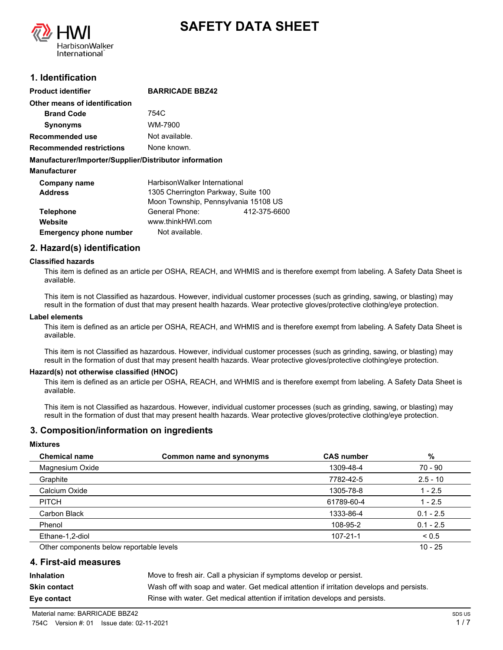



# **1. Identification**

| Product identifier                                     | <b>BARRICADE BBZ42</b>               |              |
|--------------------------------------------------------|--------------------------------------|--------------|
| Other means of identification                          |                                      |              |
| <b>Brand Code</b>                                      | 754C                                 |              |
| <b>Synonyms</b>                                        | WM-7900                              |              |
| Recommended use                                        | Not available.                       |              |
| Recommended restrictions                               | None known.                          |              |
| Manufacturer/Importer/Supplier/Distributor information |                                      |              |
| Manufacturer                                           |                                      |              |
| Company name                                           | HarbisonWalker International         |              |
| <b>Address</b>                                         | 1305 Cherrington Parkway, Suite 100  |              |
|                                                        | Moon Township, Pennsylvania 15108 US |              |
| <b>Telephone</b>                                       | General Phone:                       | 412-375-6600 |
| Website                                                | www.thinkHWI.com                     |              |
| <b>Emergency phone number</b>                          | Not available.                       |              |

# **2. Hazard(s) identification**

#### **Classified hazards**

This item is defined as an article per OSHA, REACH, and WHMIS and is therefore exempt from labeling. A Safety Data Sheet is available.

This item is not Classified as hazardous. However, individual customer processes (such as grinding, sawing, or blasting) may result in the formation of dust that may present health hazards. Wear protective gloves/protective clothing/eye protection.

#### **Label elements**

This item is defined as an article per OSHA, REACH, and WHMIS and is therefore exempt from labeling. A Safety Data Sheet is available.

This item is not Classified as hazardous. However, individual customer processes (such as grinding, sawing, or blasting) may result in the formation of dust that may present health hazards. Wear protective gloves/protective clothing/eye protection.

#### **Hazard(s) not otherwise classified (HNOC)**

This item is defined as an article per OSHA, REACH, and WHMIS and is therefore exempt from labeling. A Safety Data Sheet is available.

This item is not Classified as hazardous. However, individual customer processes (such as grinding, sawing, or blasting) may result in the formation of dust that may present health hazards. Wear protective gloves/protective clothing/eye protection.

## **3. Composition/information on ingredients**

#### **Mixtures**

| <b>Chemical name</b>                     | Common name and synonyms | <b>CAS number</b> | %           |
|------------------------------------------|--------------------------|-------------------|-------------|
| Magnesium Oxide                          |                          | 1309-48-4         | 70 - 90     |
| Graphite                                 |                          | 7782-42-5         | $2.5 - 10$  |
| Calcium Oxide                            |                          | 1305-78-8         | $1 - 2.5$   |
| <b>PITCH</b>                             |                          | 61789-60-4        | $1 - 2.5$   |
| Carbon Black                             |                          | 1333-86-4         | $0.1 - 2.5$ |
| Phenol                                   |                          | 108-95-2          | $0.1 - 2.5$ |
| Ethane-1,2-diol                          |                          | $107 - 21 - 1$    | ${}_{0.5}$  |
| Other components below reportable levels |                          |                   | $10 - 25$   |

## **4. First-aid measures**

**Inhalation** Move to fresh air. Call a physician if symptoms develop or persist. **Skin contact** Wash off with soap and water. Get medical attention if irritation develops and persists. **Eye contact Rinse with water. Get medical attention if irritation develops and persists.**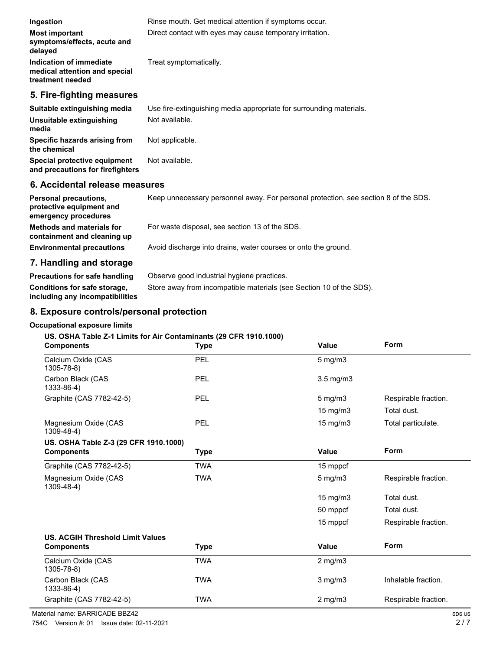| Ingestion                                                                    | Rinse mouth. Get medical attention if symptoms occur.               |
|------------------------------------------------------------------------------|---------------------------------------------------------------------|
| <b>Most important</b><br>symptoms/effects, acute and<br>delayed              | Direct contact with eyes may cause temporary irritation.            |
| Indication of immediate<br>medical attention and special<br>treatment needed | Treat symptomatically.                                              |
| 5. Fire-fighting measures                                                    |                                                                     |
| Suitable extinguishing media                                                 | Use fire-extinguishing media appropriate for surrounding materials. |
| Unsuitable extinguishing<br>media                                            | Not available.                                                      |
| Specific hazards arising from<br>the chemical                                | Not applicable.                                                     |
| Special protective equipment                                                 | Not available.                                                      |

# **6. Accidental release measures**

**and precautions for firefighters**

| <b>Personal precautions.</b><br>protective equipment and<br>emergency procedures | Keep unnecessary personnel away. For personal protection, see section 8 of the SDS. |
|----------------------------------------------------------------------------------|-------------------------------------------------------------------------------------|
| <b>Methods and materials for</b><br>containment and cleaning up                  | For waste disposal, see section 13 of the SDS.                                      |
| <b>Environmental precautions</b>                                                 | Avoid discharge into drains, water courses or onto the ground.                      |
| 7. Handling and storage                                                          |                                                                                     |
| <b>Precautions for safe handling</b>                                             | Observe good industrial hygiene practices.                                          |

# **including any incompatibilities**

**Conditions for safe storage,** Store away from incompatible materials (see Section 10 of the SDS).

# **8. Exposure controls/personal protection**

# **Occupational exposure limits**

# **US. OSHA Table Z-1 Limits for Air Contaminants (29 CFR 1910.1000)**

| <b>Components</b>                         | <b>Type</b> | <b>Value</b>      | Form                 |
|-------------------------------------------|-------------|-------------------|----------------------|
| Calcium Oxide (CAS<br>1305-78-8)          | PEL         | $5$ mg/m $3$      |                      |
| Carbon Black (CAS<br>1333-86-4)           | <b>PEL</b>  | $3.5$ mg/m $3$    |                      |
| Graphite (CAS 7782-42-5)                  | PEL         | $5$ mg/m $3$      | Respirable fraction. |
|                                           |             | 15 mg/m3          | Total dust.          |
| Magnesium Oxide (CAS<br>$1309 - 48 - 4$ ) | PEL         | $15 \text{ mg/m}$ | Total particulate.   |
| US. OSHA Table Z-3 (29 CFR 1910.1000)     |             |                   |                      |
| <b>Components</b>                         | Type        | <b>Value</b>      | Form                 |
| Graphite (CAS 7782-42-5)                  | TWA         | 15 mppcf          |                      |
| Magnesium Oxide (CAS<br>$1309 - 48 - 4$ ) | <b>TWA</b>  | $5$ mg/m $3$      | Respirable fraction. |
|                                           |             | 15 mg/m3          | Total dust.          |
|                                           |             | 50 mppcf          | Total dust.          |
|                                           |             | 15 mppcf          | Respirable fraction. |
| <b>US. ACGIH Threshold Limit Values</b>   |             |                   |                      |
| <b>Components</b>                         | <b>Type</b> | Value             | Form                 |
| Calcium Oxide (CAS<br>1305-78-8)          | <b>TWA</b>  | $2$ mg/m $3$      |                      |
| Carbon Black (CAS<br>1333-86-4)           | <b>TWA</b>  | $3$ mg/m $3$      | Inhalable fraction.  |
| Graphite (CAS 7782-42-5)                  | <b>TWA</b>  | $2$ mg/m $3$      | Respirable fraction. |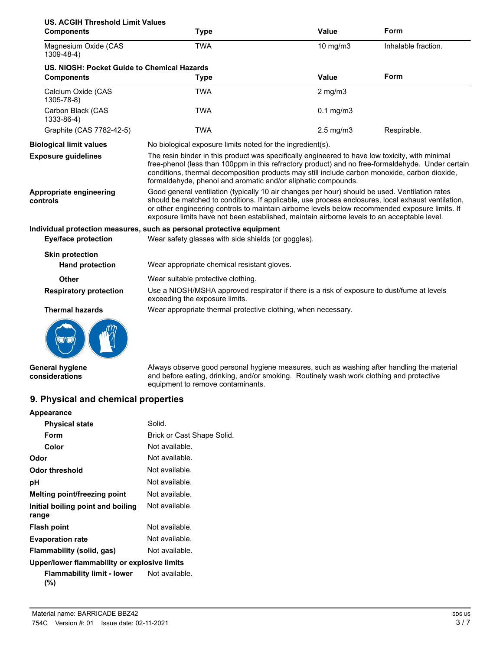| <b>US. ACGIH Threshold Limit Values</b>     |                                                                                                                                                                                                                                                                                                                                                                                                        |                      |                     |
|---------------------------------------------|--------------------------------------------------------------------------------------------------------------------------------------------------------------------------------------------------------------------------------------------------------------------------------------------------------------------------------------------------------------------------------------------------------|----------------------|---------------------|
| <b>Components</b>                           | <b>Type</b>                                                                                                                                                                                                                                                                                                                                                                                            | <b>Value</b>         | Form                |
| Magnesium Oxide (CAS<br>$1309 - 48 - 4$ )   | <b>TWA</b>                                                                                                                                                                                                                                                                                                                                                                                             | 10 mg/m3             | Inhalable fraction. |
| US. NIOSH: Pocket Guide to Chemical Hazards |                                                                                                                                                                                                                                                                                                                                                                                                        |                      |                     |
| <b>Components</b>                           | <b>Type</b>                                                                                                                                                                                                                                                                                                                                                                                            | Value                | Form                |
| Calcium Oxide (CAS<br>1305-78-8)            | <b>TWA</b>                                                                                                                                                                                                                                                                                                                                                                                             | $2$ mg/m $3$         |                     |
| Carbon Black (CAS<br>1333-86-4)             | <b>TWA</b>                                                                                                                                                                                                                                                                                                                                                                                             | $0.1$ mg/m $3$       |                     |
| Graphite (CAS 7782-42-5)                    | <b>TWA</b>                                                                                                                                                                                                                                                                                                                                                                                             | $2.5 \text{ mg/m}$ 3 | Respirable.         |
| <b>Biological limit values</b>              | No biological exposure limits noted for the ingredient(s).                                                                                                                                                                                                                                                                                                                                             |                      |                     |
| <b>Exposure quidelines</b>                  | The resin binder in this product was specifically engineered to have low toxicity, with minimal<br>free-phenol (less than 100ppm in this refractory product) and no free-formaldehyde. Under certain<br>conditions, thermal decomposition products may still include carbon monoxide, carbon dioxide,<br>formaldehyde, phenol and aromatic and/or aliphatic compounds.                                 |                      |                     |
| Appropriate engineering<br>controls         | Good general ventilation (typically 10 air changes per hour) should be used. Ventilation rates<br>should be matched to conditions. If applicable, use process enclosures, local exhaust ventilation,<br>or other engineering controls to maintain airborne levels below recommended exposure limits. If<br>exposure limits have not been established, maintain airborne levels to an acceptable level. |                      |                     |
|                                             | Individual protection measures, such as personal protective equipment                                                                                                                                                                                                                                                                                                                                  |                      |                     |
| <b>Eye/face protection</b>                  | Wear safety glasses with side shields (or goggles).                                                                                                                                                                                                                                                                                                                                                    |                      |                     |
| <b>Skin protection</b>                      |                                                                                                                                                                                                                                                                                                                                                                                                        |                      |                     |
| <b>Hand protection</b>                      | Wear appropriate chemical resistant gloves.                                                                                                                                                                                                                                                                                                                                                            |                      |                     |
| Other                                       | Wear suitable protective clothing.                                                                                                                                                                                                                                                                                                                                                                     |                      |                     |
| <b>Respiratory protection</b>               | Use a NIOSH/MSHA approved respirator if there is a risk of exposure to dust/fume at levels<br>exceeding the exposure limits.                                                                                                                                                                                                                                                                           |                      |                     |
| <b>Thermal hazards</b>                      | Wear appropriate thermal protective clothing, when necessary.                                                                                                                                                                                                                                                                                                                                          |                      |                     |
|                                             |                                                                                                                                                                                                                                                                                                                                                                                                        |                      |                     |

**General hygiene considerations**

Always observe good personal hygiene measures, such as washing after handling the material and before eating, drinking, and/or smoking. Routinely wash work clothing and protective equipment to remove contaminants.

# **9. Physical and chemical properties**

| <b>Appearance</b>                            |                            |
|----------------------------------------------|----------------------------|
| <b>Physical state</b>                        | Solid.                     |
| Form                                         | Brick or Cast Shape Solid. |
| Color                                        | Not available.             |
| Odor                                         | Not available.             |
| Odor threshold                               | Not available.             |
| рH                                           | Not available.             |
| Melting point/freezing point                 | Not available.             |
| Initial boiling point and boiling<br>range   | Not available.             |
| <b>Flash point</b>                           | Not available.             |
| <b>Evaporation rate</b>                      | Not available.             |
| Flammability (solid, gas)                    | Not available.             |
| Upper/lower flammability or explosive limits |                            |
| Flammability limit - lower<br>(%)            | Not available.             |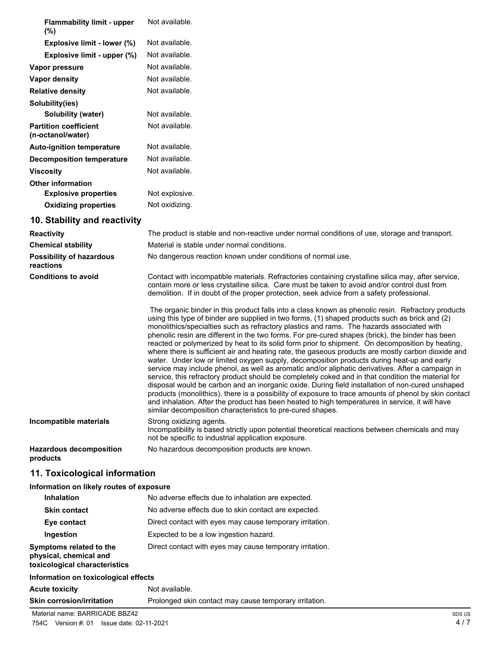| <b>Flammability limit - upper</b><br>$(\%)$       | Not available. |
|---------------------------------------------------|----------------|
| Explosive limit - lower (%)                       | Not available. |
| Explosive limit - upper (%)                       | Not available. |
| Vapor pressure                                    | Not available. |
| Vapor density                                     | Not available. |
| <b>Relative density</b>                           | Not available. |
| Solubility(ies)                                   |                |
| Solubility (water)                                | Not available. |
| <b>Partition coefficient</b><br>(n-octanol/water) | Not available. |
| <b>Auto-ignition temperature</b>                  | Not available. |
| <b>Decomposition temperature</b>                  | Not available. |
| <b>Viscosity</b>                                  | Not available. |
| <b>Other information</b>                          |                |
| <b>Explosive properties</b>                       | Not explosive. |
| <b>Oxidizing properties</b>                       | Not oxidizing. |
| 10. Stability and reactivity                      |                |

| <b>Reactivity</b>                            | The product is stable and non-reactive under normal conditions of use, storage and transport.                                                                                                                                                                                                                                                                                                                                                                                                                                                                                                                                                                                                                                                                                                                                                                                                                                                                                                                                                                                                                                                                                                                                                                                                          |
|----------------------------------------------|--------------------------------------------------------------------------------------------------------------------------------------------------------------------------------------------------------------------------------------------------------------------------------------------------------------------------------------------------------------------------------------------------------------------------------------------------------------------------------------------------------------------------------------------------------------------------------------------------------------------------------------------------------------------------------------------------------------------------------------------------------------------------------------------------------------------------------------------------------------------------------------------------------------------------------------------------------------------------------------------------------------------------------------------------------------------------------------------------------------------------------------------------------------------------------------------------------------------------------------------------------------------------------------------------------|
| <b>Chemical stability</b>                    | Material is stable under normal conditions.                                                                                                                                                                                                                                                                                                                                                                                                                                                                                                                                                                                                                                                                                                                                                                                                                                                                                                                                                                                                                                                                                                                                                                                                                                                            |
| <b>Possibility of hazardous</b><br>reactions | No dangerous reaction known under conditions of normal use.                                                                                                                                                                                                                                                                                                                                                                                                                                                                                                                                                                                                                                                                                                                                                                                                                                                                                                                                                                                                                                                                                                                                                                                                                                            |
| <b>Conditions to avoid</b>                   | Contact with incompatible materials. Refractories containing crystalline silica may, after service,<br>contain more or less crystalline silica. Care must be taken to avoid and/or control dust from<br>demolition. If in doubt of the proper protection, seek advice from a safety professional.                                                                                                                                                                                                                                                                                                                                                                                                                                                                                                                                                                                                                                                                                                                                                                                                                                                                                                                                                                                                      |
|                                              | The organic binder in this product falls into a class known as phenolic resin. Refractory products<br>using this type of binder are supplied in two forms, (1) shaped products such as brick and (2)<br>monolithics/specialties such as refractory plastics and rams. The hazards associated with<br>phenolic resin are different in the two forms. For pre-cured shapes (brick), the binder has been<br>reacted or polymerized by heat to its solid form prior to shipment. On decomposition by heating,<br>where there is sufficient air and heating rate, the gaseous products are mostly carbon dioxide and<br>water. Under low or limited oxygen supply, decomposition products during heat-up and early<br>service may include phenol, as well as aromatic and/or aliphatic derivatives. After a campaign in<br>service, this refractory product should be completely coked and in that condition the material for<br>disposal would be carbon and an inorganic oxide. During field installation of non-cured unshaped<br>products (monolithics), there is a possibility of exposure to trace amounts of phenol by skin contact<br>and inhalation. After the product has been heated to high temperatures in service, it will have<br>similar decomposition characteristics to pre-cured shapes. |
| Incompatible materials                       | Strong oxidizing agents.<br>Incompatibility is based strictly upon potential theoretical reactions between chemicals and may<br>not be specific to industrial application exposure.                                                                                                                                                                                                                                                                                                                                                                                                                                                                                                                                                                                                                                                                                                                                                                                                                                                                                                                                                                                                                                                                                                                    |
| <b>Hazardous decomposition</b><br>products   | No hazardous decomposition products are known.                                                                                                                                                                                                                                                                                                                                                                                                                                                                                                                                                                                                                                                                                                                                                                                                                                                                                                                                                                                                                                                                                                                                                                                                                                                         |

# **11. Toxicological information**

# **Information on likely routes of exposure**

| <b>Inhalation</b>                                                                  | No adverse effects due to inhalation are expected.       |
|------------------------------------------------------------------------------------|----------------------------------------------------------|
| <b>Skin contact</b>                                                                | No adverse effects due to skin contact are expected.     |
| Eye contact                                                                        | Direct contact with eyes may cause temporary irritation. |
| Ingestion                                                                          | Expected to be a low ingestion hazard.                   |
| Symptoms related to the<br>physical, chemical and<br>toxicological characteristics | Direct contact with eyes may cause temporary irritation. |
| Information on toxicological effects                                               |                                                          |
| <b>Acute toxicity</b>                                                              | Not available.                                           |

**Skin corrosion/irritation** Prolonged skin contact may cause temporary irritation.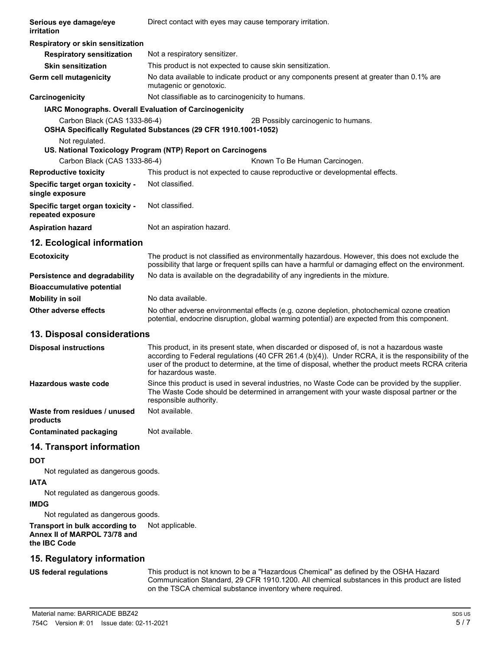| Serious eye damage/eye<br>irritation                                           | Direct contact with eyes may cause temporary irritation.                                                                                                                                                                                                                                                                         |  |
|--------------------------------------------------------------------------------|----------------------------------------------------------------------------------------------------------------------------------------------------------------------------------------------------------------------------------------------------------------------------------------------------------------------------------|--|
| Respiratory or skin sensitization                                              |                                                                                                                                                                                                                                                                                                                                  |  |
| <b>Respiratory sensitization</b>                                               | Not a respiratory sensitizer.                                                                                                                                                                                                                                                                                                    |  |
| <b>Skin sensitization</b>                                                      | This product is not expected to cause skin sensitization.                                                                                                                                                                                                                                                                        |  |
| Germ cell mutagenicity                                                         | No data available to indicate product or any components present at greater than 0.1% are<br>mutagenic or genotoxic.                                                                                                                                                                                                              |  |
| Carcinogenicity                                                                | Not classifiable as to carcinogenicity to humans.                                                                                                                                                                                                                                                                                |  |
| IARC Monographs. Overall Evaluation of Carcinogenicity                         |                                                                                                                                                                                                                                                                                                                                  |  |
| Carbon Black (CAS 1333-86-4)                                                   | 2B Possibly carcinogenic to humans.<br>OSHA Specifically Regulated Substances (29 CFR 1910.1001-1052)                                                                                                                                                                                                                            |  |
| Not regulated.                                                                 | US. National Toxicology Program (NTP) Report on Carcinogens                                                                                                                                                                                                                                                                      |  |
| Carbon Black (CAS 1333-86-4)                                                   | Known To Be Human Carcinogen.                                                                                                                                                                                                                                                                                                    |  |
| <b>Reproductive toxicity</b>                                                   | This product is not expected to cause reproductive or developmental effects.                                                                                                                                                                                                                                                     |  |
| Specific target organ toxicity -<br>single exposure                            | Not classified.                                                                                                                                                                                                                                                                                                                  |  |
| Specific target organ toxicity -<br>repeated exposure                          | Not classified.                                                                                                                                                                                                                                                                                                                  |  |
| <b>Aspiration hazard</b>                                                       | Not an aspiration hazard.                                                                                                                                                                                                                                                                                                        |  |
| 12. Ecological information                                                     |                                                                                                                                                                                                                                                                                                                                  |  |
| <b>Ecotoxicity</b>                                                             | The product is not classified as environmentally hazardous. However, this does not exclude the<br>possibility that large or frequent spills can have a harmful or damaging effect on the environment.                                                                                                                            |  |
| Persistence and degradability                                                  | No data is available on the degradability of any ingredients in the mixture.                                                                                                                                                                                                                                                     |  |
| <b>Bioaccumulative potential</b>                                               |                                                                                                                                                                                                                                                                                                                                  |  |
| <b>Mobility in soil</b>                                                        | No data available.                                                                                                                                                                                                                                                                                                               |  |
| <b>Other adverse effects</b>                                                   | No other adverse environmental effects (e.g. ozone depletion, photochemical ozone creation<br>potential, endocrine disruption, global warming potential) are expected from this component.                                                                                                                                       |  |
| 13. Disposal considerations                                                    |                                                                                                                                                                                                                                                                                                                                  |  |
| <b>Disposal instructions</b>                                                   | This product, in its present state, when discarded or disposed of, is not a hazardous waste<br>according to Federal regulations (40 CFR 261.4 (b)(4)). Under RCRA, it is the responsibility of the<br>user of the product to determine, at the time of disposal, whether the product meets RCRA criteria<br>for hazardous waste. |  |
| Hazardous waste code                                                           | Since this product is used in several industries, no Waste Code can be provided by the supplier.<br>The Waste Code should be determined in arrangement with your waste disposal partner or the<br>responsible authority.                                                                                                         |  |
| Waste from residues / unused<br>products                                       | Not available.                                                                                                                                                                                                                                                                                                                   |  |
| <b>Contaminated packaging</b>                                                  | Not available.                                                                                                                                                                                                                                                                                                                   |  |
| 14. Transport information                                                      |                                                                                                                                                                                                                                                                                                                                  |  |
| <b>DOT</b>                                                                     |                                                                                                                                                                                                                                                                                                                                  |  |
| Not regulated as dangerous goods.<br><b>IATA</b>                               |                                                                                                                                                                                                                                                                                                                                  |  |
| Not regulated as dangerous goods.<br><b>IMDG</b>                               |                                                                                                                                                                                                                                                                                                                                  |  |
| Not regulated as dangerous goods.                                              |                                                                                                                                                                                                                                                                                                                                  |  |
| Transport in bulk according to<br>Annex II of MARPOL 73/78 and<br>the IBC Code | Not applicable.                                                                                                                                                                                                                                                                                                                  |  |
| 15. Regulatory information                                                     |                                                                                                                                                                                                                                                                                                                                  |  |

#### **US federal regulations**

This product is not known to be a "Hazardous Chemical" as defined by the OSHA Hazard Communication Standard, 29 CFR 1910.1200. All chemical substances in this product are listed on the TSCA chemical substance inventory where required.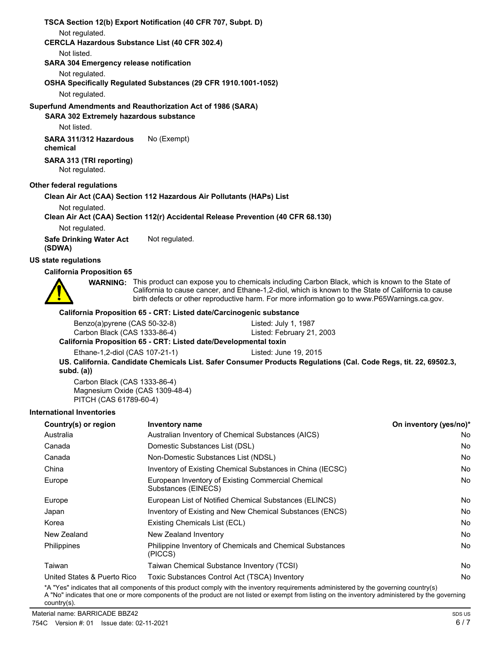**TSCA Section 12(b) Export Notification (40 CFR 707, Subpt. D)** Not regulated. **CERCLA Hazardous Substance List (40 CFR 302.4)** Not listed. **SARA 304 Emergency release notification** Not regulated. **OSHA Specifically Regulated Substances (29 CFR 1910.1001-1052)** Not regulated. **SARA 302 Extremely hazardous substance Superfund Amendments and Reauthorization Act of 1986 (SARA)** Not listed. **SARA 311/312 Hazardous** No (Exempt) **chemical SARA 313 (TRI reporting)** Not regulated. **Other federal regulations Clean Air Act (CAA) Section 112 Hazardous Air Pollutants (HAPs) List** Not regulated. **Clean Air Act (CAA) Section 112(r) Accidental Release Prevention (40 CFR 68.130)** Not regulated. **Safe Drinking Water Act** Not regulated. **(SDWA) US state regulations California Proposition 65** WARNING: This product can expose you to chemicals including Carbon Black, which is known to the State of California to cause cancer, and Ethane-1,2-diol, which is known to the State of California to cause birth defects or other reproductive harm. For more information go to www.P65Warnings.ca.gov. **California Proposition 65 - CRT: Listed date/Carcinogenic substance** Benzo(a)pyrene (CAS 50-32-8) Listed: July 1, 1987 Carbon Black (CAS 1333-86-4) Listed: February 21, 2003 **California Proposition 65 - CRT: Listed date/Developmental toxin** Ethane-1,2-diol (CAS 107-21-1) Listed: June 19, 2015 **US. California. Candidate Chemicals List. Safer Consumer Products Regulations (Cal. Code Regs, tit. 22, 69502.3, subd. (a))** Carbon Black (CAS 1333-86-4) Magnesium Oxide (CAS 1309-48-4) PITCH (CAS 61789-60-4) **International Inventories Country(s) or region Inventory name On inventory (yes/no)\*** Australia **Australian Inventory of Chemical Substances (AICS)** No Research the Mo Canada Domestic Substances List (DSL) No Canada Non-Domestic Substances List (NDSL) No

Europe **European Inventory of Existing Commercial Chemical Chemical Chemical Chemical Chemical Chemical Chemical No** Substances (EINECS) Europe **European List of Notified Chemical Substances (ELINCS)** Noticed Analysis and The European List of Notified Chemical Substances (ELINCS) Noticed Analysis and The Notified Analysis and The Notified Analysis and The N Japan **Inventory of Existing and New Chemical Substances (ENCS)** No Report to the Mo Korea **Existing Chemicals List (ECL)** No and the existing Chemicals List (ECL) No and the existing Chemicals List (ECL) New Zealand New Zealand Inventory No Philippines Philippine Inventory of Chemicals and Chemical Substances No (PICCS) Taiwan Taiwan Chemical Substance Inventory (TCSI) No United States & Puerto Rico Toxic Substances Control Act (TSCA) Inventory No No

China **Inventory of Existing Chemical Substances in China (IECSC)** No No

\*A "Yes" indicates that all components of this product comply with the inventory requirements administered by the governing country(s) A "No" indicates that one or more components of the product are not listed or exempt from listing on the inventory administered by the governing country(s).